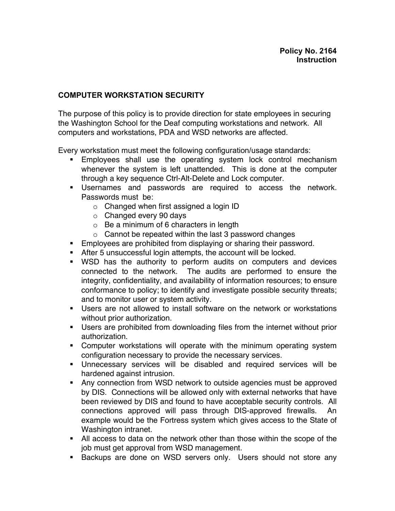## **COMPUTER WORKSTATION SECURITY**

The purpose of this policy is to provide direction for state employees in securing the Washington School for the Deaf computing workstations and network. All computers and workstations, PDA and WSD networks are affected.

Every workstation must meet the following configuration/usage standards:

- **Employees shall use the operating system lock control mechanism** whenever the system is left unattended. This is done at the computer through a key sequence Ctrl-Alt-Delete and Lock computer.
- **Usernames and passwords are required to access the network.** Passwords must be:
	- o Changed when first assigned a login ID
	- $\circ$  Changed every 90 days
	- $\circ$  Be a minimum of 6 characters in length
	- $\circ$  Cannot be repeated within the last 3 password changes
- **Employees are prohibited from displaying or sharing their password.**
- **After 5 unsuccessful login attempts, the account will be locked.**
- **WSD** has the authority to perform audits on computers and devices connected to the network. The audits are performed to ensure the integrity, confidentiality, and availability of information resources; to ensure conformance to policy; to identify and investigate possible security threats; and to monitor user or system activity.
- **Users are not allowed to install software on the network or workstations** without prior authorization.
- **Users are prohibited from downloading files from the internet without prior** authorization.
- Computer workstations will operate with the minimum operating system configuration necessary to provide the necessary services.
- **Unnecessary services will be disabled and required services will be** hardened against intrusion.
- **Any connection from WSD network to outside agencies must be approved** by DIS. Connections will be allowed only with external networks that have been reviewed by DIS and found to have acceptable security controls. All connections approved will pass through DIS-approved firewalls. An example would be the Fortress system which gives access to the State of Washington intranet.
- All access to data on the network other than those within the scope of the job must get approval from WSD management.
- **Backups are done on WSD servers only. Users should not store any**